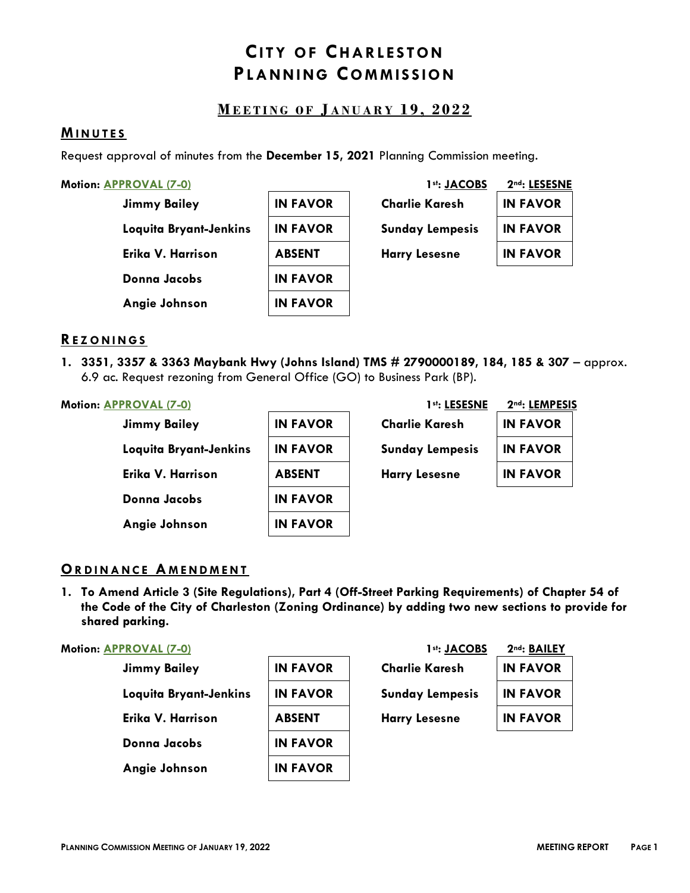# **CITY OF CHARLESTON PL A N N I N G CO M M IS S IO N**

# **M E E T I N G O F J A N U A R Y 1 9 , 202 2**

#### **MI N U T E S**

Request approval of minutes from the **December 15, 2021** Planning Commission meeting.

|  |  | Motion: <b>APPROVAL (7-0)</b> |  |
|--|--|-------------------------------|--|
|--|--|-------------------------------|--|

| <b>Jimmy Bailey</b>    | <b>IN FAVOR</b> | <b>Charlie Karesh</b>  | <b>IN FAVOR</b> |
|------------------------|-----------------|------------------------|-----------------|
| Loquita Bryant-Jenkins | <b>IN FAVOR</b> | <b>Sunday Lempesis</b> | <b>IN FAVOR</b> |
| Erika V. Harrison      | <b>ABSENT</b>   | <b>Harry Lesesne</b>   | <b>IN FAVOR</b> |
| <b>Donna Jacobs</b>    | <b>IN FAVOR</b> |                        |                 |
| Angie Johnson          | <b>IN FAVOR</b> |                        |                 |

| <b>Motion: APPROVAL (7-0)</b> |                 | 1 <sup>st</sup> : JACOBS | 2nd: LESESNE    |
|-------------------------------|-----------------|--------------------------|-----------------|
| <b>Jimmy Bailey</b>           | <b>IN FAVOR</b> | <b>Charlie Karesh</b>    | <b>IN FAVOR</b> |
| Loquita Bryant-Jenkins        | <b>IN FAVOR</b> | <b>Sunday Lempesis</b>   | <b>IN FAVOR</b> |
| Erika V. Harrison             | <b>ABSENT</b>   | <b>Harry Lesesne</b>     | <b>IN FAVOR</b> |
| 8. 1. <b>.</b> .              | IN FAVAR        |                          |                 |

### **RE Z O N I N G S**

**1. 3351, 3357 & 3363 Maybank Hwy (Johns Island) TMS # 2790000189, 184, 185 & 307** – approx. 6.9 ac. Request rezoning from General Office (GO) to Business Park (BP).

| <b>Jimmy Bailey</b>    | <b>IN FAVOR</b> | <b>Charlie Karesh</b>  | <b>IN FAVOR</b> |
|------------------------|-----------------|------------------------|-----------------|
| Loquita Bryant-Jenkins | <b>IN FAVOR</b> | <b>Sunday Lempesis</b> | <b>IN FAVOR</b> |
| Erika V. Harrison      | <b>ABSENT</b>   | <b>Harry Lesesne</b>   | <b>IN FAVOR</b> |
| Donna Jacobs           | <b>IN FAVOR</b> |                        |                 |
| Angie Johnson          | <b>IN FAVOR</b> |                        |                 |

| <b>Motion: APPROVAL (7-0)</b> |                 | 1st: LESESNE           | 2nd: LEMPESIS   |
|-------------------------------|-----------------|------------------------|-----------------|
| <b>Jimmy Bailey</b>           | <b>IN FAVOR</b> | <b>Charlie Karesh</b>  | <b>IN FAVOR</b> |
| Loquita Bryant-Jenkins        | <b>IN FAVOR</b> | <b>Sunday Lempesis</b> | <b>IN FAVOR</b> |
| Erika V. Harrison             | <b>ABSENT</b>   | <b>Harry Lesesne</b>   | <b>IN FAVOR</b> |
|                               |                 |                        |                 |

### **ORDINANCE AMENDMENT**

**1. To Amend Article 3 (Site Regulations), Part 4 (Off-Street Parking Requirements) of Chapter 54 of the Code of the City of Charleston (Zoning Ordinance) by adding two new sections to provide for shared parking.**

### **Motion: APPROVAL (7-0) 1st: JACOBS 2nd: BAILEY**

| <b>Jimmy Bailey</b>    | <b>IN FAVOR</b> | <b>Charlie Karesh</b>  | <b>IN FAVOR</b> |  |
|------------------------|-----------------|------------------------|-----------------|--|
| Loquita Bryant-Jenkins | <b>IN FAVOR</b> | <b>Sunday Lempesis</b> | <b>IN FAVOR</b> |  |
| Erika V. Harrison      | <b>ABSENT</b>   | <b>Harry Lesesne</b>   | <b>IN FAVOR</b> |  |
| Donna Jacobs           | <b>IN FAVOR</b> |                        |                 |  |
| Angie Johnson          | <b>IN FAVOR</b> |                        |                 |  |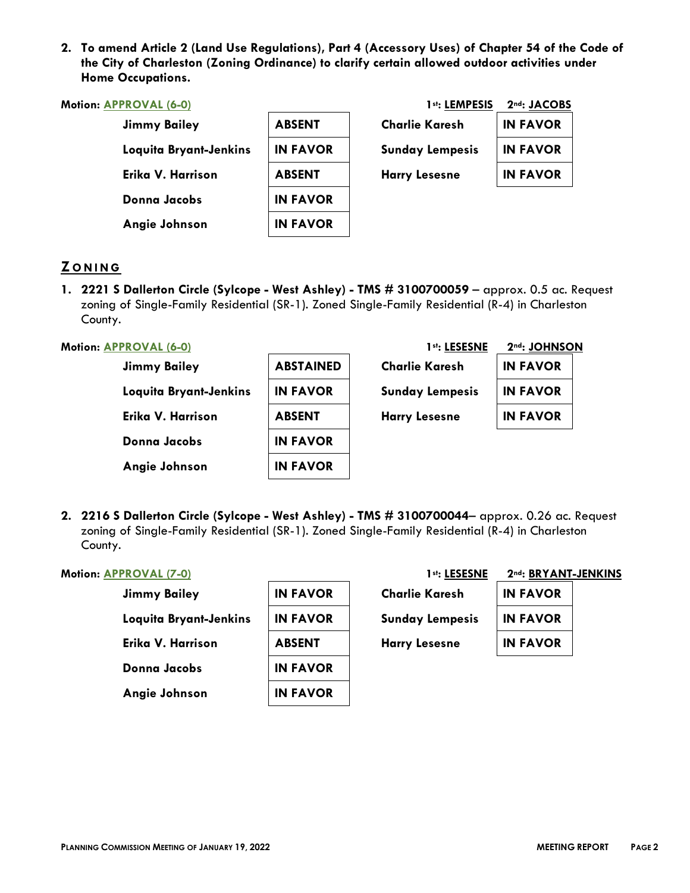**2. To amend Article 2 (Land Use Regulations), Part 4 (Accessory Uses) of Chapter 54 of the Code of the City of Charleston (Zoning Ordinance) to clarify certain allowed outdoor activities under Home Occupations.**

| Motion: APPROVAL (6-0) |                 | 1st: LEMPESIS          | 2nd: JACOBS     |
|------------------------|-----------------|------------------------|-----------------|
| <b>Jimmy Bailey</b>    | <b>ABSENT</b>   | Charlie Karesh         | <b>IN FAVOR</b> |
| Loquita Bryant-Jenkins | <b>IN FAVOR</b> | <b>Sunday Lempesis</b> | <b>IN FAVOR</b> |
| Erika V. Harrison      | <b>ABSENT</b>   | <b>Harry Lesesne</b>   | <b>IN FAVOR</b> |
| Donna Jacobs           | <b>IN FAVOR</b> |                        |                 |
| Angie Johnson          | <b>IN FAVOR</b> |                        |                 |

# **Z O N I N G**

**1. 2221 S Dallerton Circle (Sylcope - West Ashley) - TMS # 3100700059** – approx. 0.5 ac. Request zoning of Single-Family Residential (SR-1). Zoned Single-Family Residential (R-4) in Charleston County.

#### **Motion: APPROVAL (6-0) 1st: LESESNE 2nd: JOHNSON**

| Jimmy Bailey           | <b>ABSTAINED</b> | <b>Charlie Karesh</b>  | <b>IN FAVOR</b> |
|------------------------|------------------|------------------------|-----------------|
| Loquita Bryant-Jenkins | <b>IN FAVOR</b>  | <b>Sunday Lempesis</b> | <b>IN FAVOR</b> |
| Erika V. Harrison      | <b>ABSENT</b>    | <b>Harry Lesesne</b>   | <b>IN FAVOR</b> |
| Donna Jacobs           | <b>IN FAVOR</b>  |                        |                 |
| Angie Johnson          | <b>IN FAVOR</b>  |                        |                 |

**2. 2216 S Dallerton Circle (Sylcope - West Ashley) - TMS # 3100700044**– approx. 0.26 ac. Request zoning of Single-Family Residential (SR-1). Zoned Single-Family Residential (R-4) in Charleston County.

#### **Motion: APPROVAL (7-0)**

| <b>Jimmy Bailey</b>    | <b>IN FAVOR</b> | <b>Charlie Karesh</b>  | <b>IN FAVOR</b> |
|------------------------|-----------------|------------------------|-----------------|
| Loquita Bryant-Jenkins | <b>IN FAVOR</b> | <b>Sunday Lempesis</b> | <b>IN FAVOR</b> |
| Erika V. Harrison      | <b>ABSENT</b>   | <b>Harry Lesesne</b>   | <b>IN FAVOR</b> |
| <b>Donna Jacobs</b>    | <b>IN FAVOR</b> |                        |                 |
| Angie Johnson          | <b>IN FAVOR</b> |                        |                 |

| 1st: LESESNE         | 2nd: BRYANT-JENKINS |  |
|----------------------|---------------------|--|
| Charlie Karesh       | <b>IN FAVOR</b>     |  |
| Sunday Lempesis      | <b>IN FAVOR</b>     |  |
| <b>Harry Lesesne</b> | <b>IN FAVOR</b>     |  |
|                      |                     |  |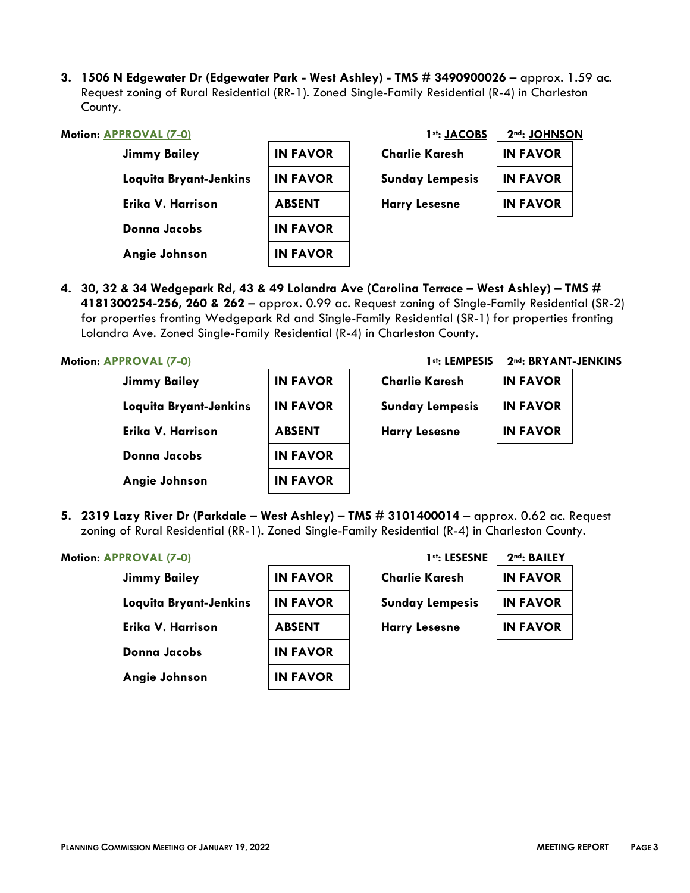**3. 1506 N Edgewater Dr (Edgewater Park - West Ashley) - TMS # 3490900026** – approx. 1.59 ac. Request zoning of Rural Residential (RR-1). Zoned Single-Family Residential (R-4) in Charleston County.

| <b>Motion: APPROVAL (7-0)</b> |                 | 1st: JACOBS            | 2nd: JOHNSON    |  |
|-------------------------------|-----------------|------------------------|-----------------|--|
| <b>Jimmy Bailey</b>           | <b>IN FAVOR</b> | <b>Charlie Karesh</b>  | <b>IN FAVOR</b> |  |
| Loquita Bryant-Jenkins        | <b>IN FAVOR</b> | <b>Sunday Lempesis</b> | <b>IN FAVOR</b> |  |
| Erika V. Harrison             | <b>ABSENT</b>   | <b>Harry Lesesne</b>   | <b>IN FAVOR</b> |  |
| <b>Donna Jacobs</b>           | <b>IN FAVOR</b> |                        |                 |  |
| Angie Johnson                 | <b>IN FAVOR</b> |                        |                 |  |
|                               |                 |                        |                 |  |

**4. 30, 32 & 34 Wedgepark Rd, 43 & 49 Lolandra Ave (Carolina Terrace – West Ashley) – TMS # 4181300254-256, 260 & 262** – approx. 0.99 ac. Request zoning of Single-Family Residential (SR-2) for properties fronting Wedgepark Rd and Single-Family Residential (SR-1) for properties fronting Lolandra Ave. Zoned Single-Family Residential (R-4) in Charleston County.

| <b>IN FAVOR</b> |                                                                         |
|-----------------|-------------------------------------------------------------------------|
| <b>IN FAVOR</b> |                                                                         |
| <b>IN FAVOR</b> |                                                                         |
|                 |                                                                         |
|                 |                                                                         |
|                 | <b>Charlie Karesh</b><br><b>Sunday Lempesis</b><br><b>Harry Lesesne</b> |

**5. 2319 Lazy River Dr (Parkdale – West Ashley) – TMS # 3101400014** – approx. 0.62 ac. Request zoning of Rural Residential (RR-1). Zoned Single-Family Residential (R-4) in Charleston County.

#### **Motion: APPROVAL (7-0)**

| <b>Jimmy Bailey</b>    | <b>IN FAVOR</b> | <b>Charlie Karesh</b>  | <b>IN FAVOR</b> |
|------------------------|-----------------|------------------------|-----------------|
| Loquita Bryant-Jenkins | <b>IN FAVOR</b> | <b>Sunday Lempesis</b> | <b>IN FAVOR</b> |
| Erika V. Harrison      | <b>ABSENT</b>   | <b>Harry Lesesne</b>   | <b>IN FAVOR</b> |
| <b>Donna Jacobs</b>    | <b>IN FAVOR</b> |                        |                 |
| Angie Johnson          | <b>IN FAVOR</b> |                        |                 |

| 1st: LESESNE           | 2nd: BAILEY     |  |
|------------------------|-----------------|--|
| <b>Charlie Karesh</b>  | <b>IN FAVOR</b> |  |
| <b>Sunday Lempesis</b> | <b>IN FAVOR</b> |  |
| <b>Harry Lesesne</b>   | <b>IN FAVOR</b> |  |
|                        |                 |  |